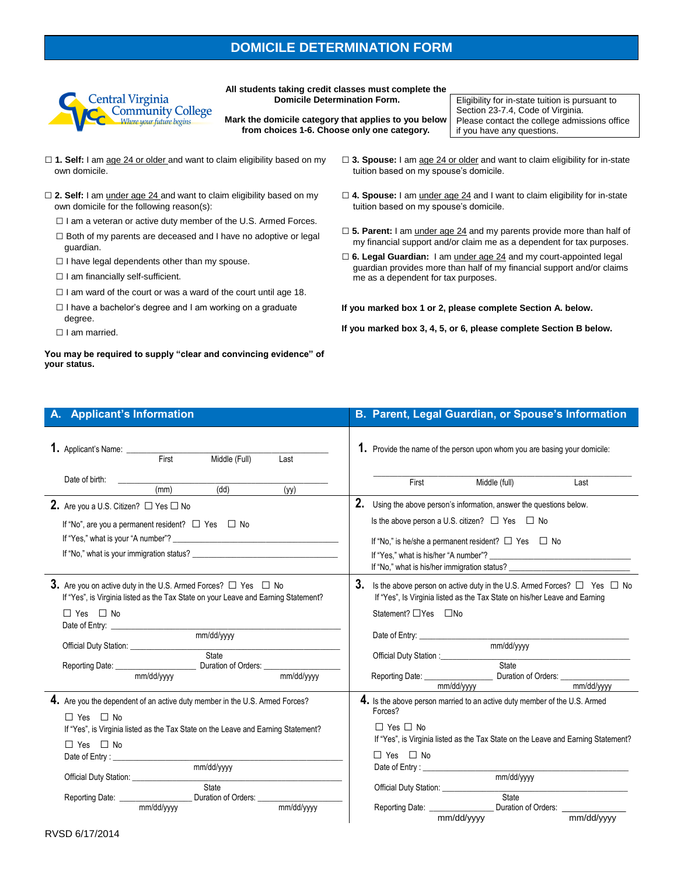## **DOMICILE DETERMINATION FORM**



**All students taking credit classes must complete the Domicile Determination Form.** 

**Mark the domicile category that applies to you below from choices 1-6. Choose only one category.** 

Eligibility for in-state tuition is pursuant to Section 23-7.4, Code of Virginia. Please contact the college admissions office if you have any questions.

- □ 1. Self: I am age 24 or older and want to claim eligibility based on my own domicile.
- □ 2. Self: I am under age 24 and want to claim eligibility based on my own domicile for the following reason(s):
	- $\Box$  I am a veteran or active duty member of the U.S. Armed Forces.
	- □ Both of my parents are deceased and I have no adoptive or legal guardian.
	- $\square$  I have legal dependents other than my spouse.
	- □ I am financially self-sufficient.
	- $\Box$  I am ward of the court or was a ward of the court until age 18.
	- □ I have a bachelor's degree and I am working on a graduate degree.
	- □ I am married.

## **You may be required to supply "clear and convincing evidence" of your status.**

- □ **3. Spouse:** I am age 24 or older and want to claim eligibility for in-state tuition based on my spouse's domicile.
- □ 4. Spouse: I am under age 24 and I want to claim eligibility for in-state tuition based on my spouse's domicile.
- □ 5. Parent: I am under age 24 and my parents provide more than half of my financial support and/or claim me as a dependent for tax purposes.
- □ 6. Legal Guardian: I am under age 24 and my court-appointed legal guardian provides more than half of my financial support and/or claims me as a dependent for tax purposes.

**If you marked box 1 or 2, please complete Section A. below.**

**If you marked box 3, 4, 5, or 6, please complete Section B below.**

| A. Applicant's Information                                                                                                                                                                                                                                                                                                                                                                                                                                                                                          | B. Parent, Legal Guardian, or Spouse's Information                                                                                                                                                                                                                                                                                                                                                                                                                                                                                                                 |
|---------------------------------------------------------------------------------------------------------------------------------------------------------------------------------------------------------------------------------------------------------------------------------------------------------------------------------------------------------------------------------------------------------------------------------------------------------------------------------------------------------------------|--------------------------------------------------------------------------------------------------------------------------------------------------------------------------------------------------------------------------------------------------------------------------------------------------------------------------------------------------------------------------------------------------------------------------------------------------------------------------------------------------------------------------------------------------------------------|
| 1. Applicant's Name: _______<br>Middle (Full)<br>First<br>Last                                                                                                                                                                                                                                                                                                                                                                                                                                                      | 1. Provide the name of the person upon whom you are basing your domicile:                                                                                                                                                                                                                                                                                                                                                                                                                                                                                          |
| Date of birth:<br>(dd)<br>(mm)<br>(yy)                                                                                                                                                                                                                                                                                                                                                                                                                                                                              | Middle (full)<br><b>First</b><br>Last                                                                                                                                                                                                                                                                                                                                                                                                                                                                                                                              |
| <b>2.</b> Are you a U.S. Citizen? $\Box$ Yes $\Box$ No<br>If "No", are you a permanent resident? $\Box$ Yes $\Box$ No                                                                                                                                                                                                                                                                                                                                                                                               | 2. Using the above person's information, answer the questions below.<br>Is the above person a U.S. citizen? □ Yes □ No<br>If "No," is he/she a permanent resident? $\Box$ Yes $\Box$ No<br>If "Yes," what is his/her "A number"?<br>If "No," what is his/her immigration status? ___________________________________                                                                                                                                                                                                                                               |
| <b>3.</b> Are you on active duty in the U.S. Armed Forces? $\Box$ Yes $\Box$ No<br>If "Yes", is Virginia listed as the Tax State on your Leave and Earning Statement?<br>$\Box$ Yes $\Box$ No<br>Date of Entry: Network and Separate and Separate and Separate and Separate and Separate and Separate and Separate and Separate and Separate and Separate and Separate and Separate and Separate and Separate and Separate and<br>mm/dd/yyyy<br>Official Duty Station: Nation:<br>State<br>mm/dd/yyyy<br>mm/dd/yyyy | 3. Is the above person on active duty in the U.S. Armed Forces? $\Box$ Yes $\Box$ No<br>If "Yes", Is Virginia listed as the Tax State on his/her Leave and Earning<br>Statement? □ Yes □ No<br>mm/dd/yyyy<br>State<br>mm/dd/yyyy<br>mm/dd/yyyy                                                                                                                                                                                                                                                                                                                     |
| 4. Are you the dependent of an active duty member in the U.S. Armed Forces?<br>$\Box$ Yes $\Box$ No<br>If "Yes", is Virginia listed as the Tax State on the Leave and Earning Statement?<br>$\Box$ Yes $\Box$ No<br>mm/dd/yyyy<br>Official Duty Station: ________________<br>State<br>Reporting Date: ________________________ Duration of Orders: ___________________<br>mm/dd/yyyy<br>mm/dd/yyyy                                                                                                                  | 4. Is the above person married to an active duty member of the U.S. Armed<br>Forces?<br>$\Box$ Yes $\Box$ No<br>If "Yes", is Virginia listed as the Tax State on the Leave and Earning Statement?<br>$\Box$ Yes $\Box$ No<br>Date of Entry: North Commission and Commission and Commission and Commission and Commission and Commission and Commission and Commission and Commission and Commission and Commission and Commission and Commission and Commis<br>mm/dd/yyyy<br>Official Duty Station: State State<br>Reporting Date: _________________<br>mm/dd/yyyy |